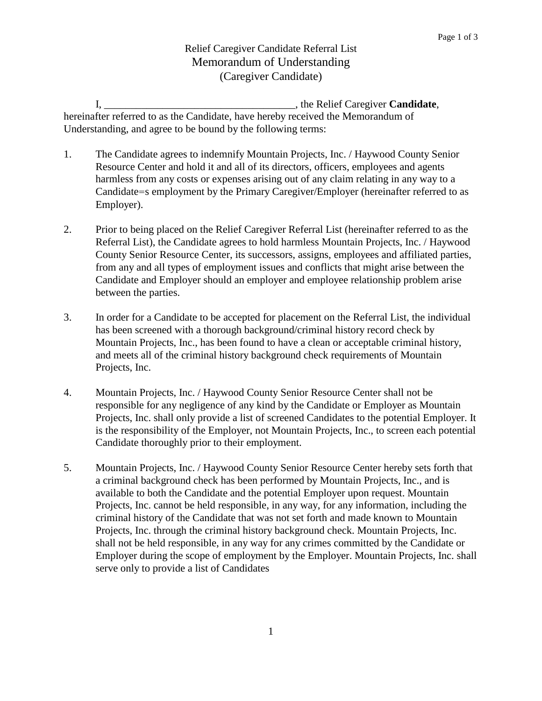## Relief Caregiver Candidate Referral List Memorandum of Understanding (Caregiver Candidate)

I, \_\_\_\_\_\_\_\_\_\_\_\_\_\_\_\_\_\_\_\_\_\_\_\_\_\_\_\_\_\_\_\_\_\_\_\_, the Relief Caregiver **Candidate**, hereinafter referred to as the Candidate, have hereby received the Memorandum of Understanding, and agree to be bound by the following terms:

- 1. The Candidate agrees to indemnify Mountain Projects, Inc. / Haywood County Senior Resource Center and hold it and all of its directors, officers, employees and agents harmless from any costs or expenses arising out of any claim relating in any way to a Candidate=s employment by the Primary Caregiver/Employer (hereinafter referred to as Employer).
- 2. Prior to being placed on the Relief Caregiver Referral List (hereinafter referred to as the Referral List), the Candidate agrees to hold harmless Mountain Projects, Inc. / Haywood County Senior Resource Center, its successors, assigns, employees and affiliated parties, from any and all types of employment issues and conflicts that might arise between the Candidate and Employer should an employer and employee relationship problem arise between the parties.
- 3. In order for a Candidate to be accepted for placement on the Referral List, the individual has been screened with a thorough background/criminal history record check by Mountain Projects, Inc., has been found to have a clean or acceptable criminal history, and meets all of the criminal history background check requirements of Mountain Projects, Inc.
- 4. Mountain Projects, Inc. / Haywood County Senior Resource Center shall not be responsible for any negligence of any kind by the Candidate or Employer as Mountain Projects, Inc. shall only provide a list of screened Candidates to the potential Employer. It is the responsibility of the Employer, not Mountain Projects, Inc., to screen each potential Candidate thoroughly prior to their employment.
- 5. Mountain Projects, Inc. / Haywood County Senior Resource Center hereby sets forth that a criminal background check has been performed by Mountain Projects, Inc., and is available to both the Candidate and the potential Employer upon request. Mountain Projects, Inc. cannot be held responsible, in any way, for any information, including the criminal history of the Candidate that was not set forth and made known to Mountain Projects, Inc. through the criminal history background check. Mountain Projects, Inc. shall not be held responsible, in any way for any crimes committed by the Candidate or Employer during the scope of employment by the Employer. Mountain Projects, Inc. shall serve only to provide a list of Candidates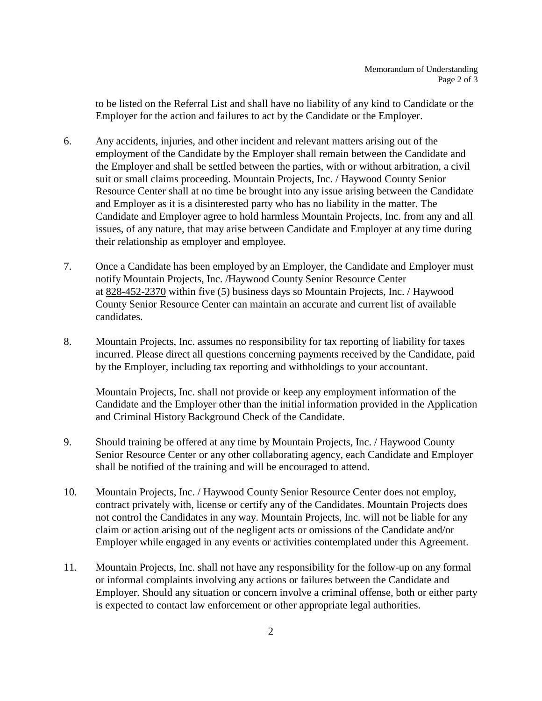to be listed on the Referral List and shall have no liability of any kind to Candidate or the Employer for the action and failures to act by the Candidate or the Employer.

- 6. Any accidents, injuries, and other incident and relevant matters arising out of the employment of the Candidate by the Employer shall remain between the Candidate and the Employer and shall be settled between the parties, with or without arbitration, a civil suit or small claims proceeding. Mountain Projects, Inc. / Haywood County Senior Resource Center shall at no time be brought into any issue arising between the Candidate and Employer as it is a disinterested party who has no liability in the matter. The Candidate and Employer agree to hold harmless Mountain Projects, Inc. from any and all issues, of any nature, that may arise between Candidate and Employer at any time during their relationship as employer and employee.
- 7. Once a Candidate has been employed by an Employer, the Candidate and Employer must notify Mountain Projects, Inc. /Haywood County Senior Resource Center at 828-452-2370 within five (5) business days so Mountain Projects, Inc. / Haywood County Senior Resource Center can maintain an accurate and current list of available candidates.
- 8. Mountain Projects, Inc. assumes no responsibility for tax reporting of liability for taxes incurred. Please direct all questions concerning payments received by the Candidate, paid by the Employer, including tax reporting and withholdings to your accountant.

Mountain Projects, Inc. shall not provide or keep any employment information of the Candidate and the Employer other than the initial information provided in the Application and Criminal History Background Check of the Candidate.

- 9. Should training be offered at any time by Mountain Projects, Inc. / Haywood County Senior Resource Center or any other collaborating agency, each Candidate and Employer shall be notified of the training and will be encouraged to attend.
- 10. Mountain Projects, Inc. / Haywood County Senior Resource Center does not employ, contract privately with, license or certify any of the Candidates. Mountain Projects does not control the Candidates in any way. Mountain Projects, Inc. will not be liable for any claim or action arising out of the negligent acts or omissions of the Candidate and/or Employer while engaged in any events or activities contemplated under this Agreement.
- 11. Mountain Projects, Inc. shall not have any responsibility for the follow-up on any formal or informal complaints involving any actions or failures between the Candidate and Employer. Should any situation or concern involve a criminal offense, both or either party is expected to contact law enforcement or other appropriate legal authorities.